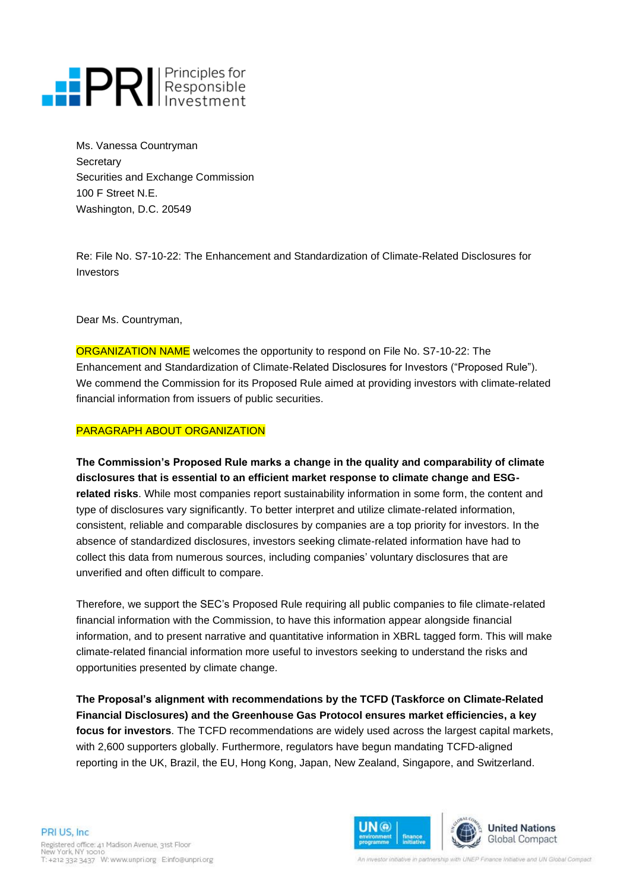## **PRI** Principles for

Ms. Vanessa Countryman **Secretary** Securities and Exchange Commission 100 F Street N.E. Washington, D.C. 20549

Re: File No. S7-10-22: The Enhancement and Standardization of Climate-Related Disclosures for Investors

Dear Ms. Countryman,

ORGANIZATION NAME welcomes the opportunity to respond on File No. S7-10-22: The Enhancement and Standardization of Climate-Related Disclosures for Investors ("Proposed Rule"). We commend the Commission for its Proposed Rule aimed at providing investors with climate-related financial information from issuers of public securities.

## PARAGRAPH ABOUT ORGANIZATION

**The Commission's Proposed Rule marks a change in the quality and comparability of climate disclosures that is essential to an efficient market response to climate change and ESGrelated risks**. While most companies report sustainability information in some form, the content and type of disclosures vary significantly. To better interpret and utilize climate-related information, consistent, reliable and comparable disclosures by companies are a top priority for investors. In the absence of standardized disclosures, investors seeking climate-related information have had to collect this data from numerous sources, including companies' voluntary disclosures that are unverified and often difficult to compare.

Therefore, we support the SEC's Proposed Rule requiring all public companies to file climate-related financial information with the Commission, to have this information appear alongside financial information, and to present narrative and quantitative information in XBRL tagged form. This will make climate-related financial information more useful to investors seeking to understand the risks and opportunities presented by climate change.

**The Proposal's alignment with recommendations by the TCFD (Taskforce on Climate-Related Financial Disclosures) and the Greenhouse Gas Protocol ensures market efficiencies, a key focus for investors**. The TCFD recommendations are widely used across the largest capital markets, with 2,600 supporters globally. Furthermore, regulators have begun mandating TCFD-aligned reporting in the UK, Brazil, the EU, Hong Kong, Japan, New Zealand, Singapore, and Switzerland.

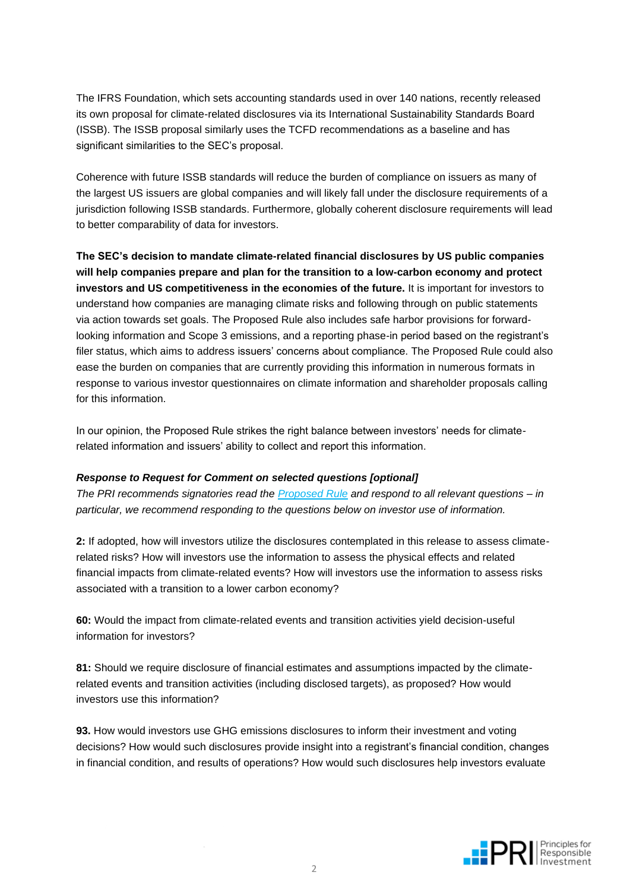The IFRS Foundation, which sets accounting standards used in over 140 nations, recently released its own proposal for climate-related disclosures via its International Sustainability Standards Board (ISSB). The ISSB proposal similarly uses the TCFD recommendations as a baseline and has significant similarities to the SEC's proposal.

Coherence with future ISSB standards will reduce the burden of compliance on issuers as many of the largest US issuers are global companies and will likely fall under the disclosure requirements of a jurisdiction following ISSB standards. Furthermore, globally coherent disclosure requirements will lead to better comparability of data for investors.

**The SEC's decision to mandate climate-related financial disclosures by US public companies will help companies prepare and plan for the transition to a low-carbon economy and protect investors and US competitiveness in the economies of the future.** It is important for investors to understand how companies are managing climate risks and following through on public statements via action towards set goals. The Proposed Rule also includes safe harbor provisions for forwardlooking information and Scope 3 emissions, and a reporting phase-in period based on the registrant's filer status, which aims to address issuers' concerns about compliance. The Proposed Rule could also ease the burden on companies that are currently providing this information in numerous formats in response to various investor questionnaires on climate information and shareholder proposals calling for this information.

In our opinion, the Proposed Rule strikes the right balance between investors' needs for climaterelated information and issuers' ability to collect and report this information.

## *Response to Request for Comment on selected questions [optional]*

*The PRI recommends signatories read the [Proposed Rule](https://www.sec.gov/rules/proposed/2022/33-11042.pdf) and respond to all relevant questions – in particular, we recommend responding to the questions below on investor use of information.* 

**2:** If adopted, how will investors utilize the disclosures contemplated in this release to assess climaterelated risks? How will investors use the information to assess the physical effects and related financial impacts from climate-related events? How will investors use the information to assess risks associated with a transition to a lower carbon economy?

**60:** Would the impact from climate-related events and transition activities yield decision-useful information for investors?

**81:** Should we require disclosure of financial estimates and assumptions impacted by the climaterelated events and transition activities (including disclosed targets), as proposed? How would investors use this information?

**93.** How would investors use GHG emissions disclosures to inform their investment and voting decisions? How would such disclosures provide insight into a registrant's financial condition, changes in financial condition, and results of operations? How would such disclosures help investors evaluate